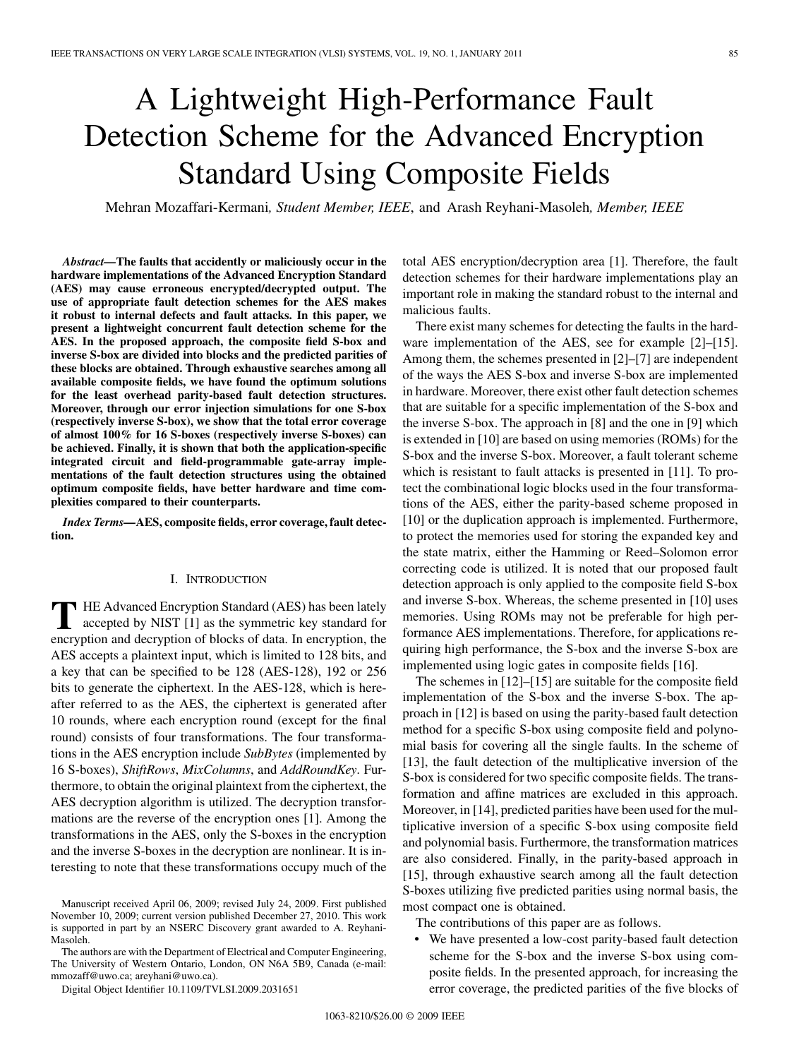# A Lightweight High-Performance Fault Detection Scheme for the Advanced Encryption Standard Using Composite Fields

Mehran Mozaffari-Kermani*, Student Member, IEEE*, and Arash Reyhani-Masoleh*, Member, IEEE*

*Abstract—***The faults that accidently or maliciously occur in the hardware implementations of the Advanced Encryption Standard (AES) may cause erroneous encrypted/decrypted output. The use of appropriate fault detection schemes for the AES makes it robust to internal defects and fault attacks. In this paper, we present a lightweight concurrent fault detection scheme for the AES. In the proposed approach, the composite field S-box and inverse S-box are divided into blocks and the predicted parities of these blocks are obtained. Through exhaustive searches among all available composite fields, we have found the optimum solutions for the least overhead parity-based fault detection structures. Moreover, through our error injection simulations for one S-box (respectively inverse S-box), we show that the total error coverage of almost 100% for 16 S-boxes (respectively inverse S-boxes) can be achieved. Finally, it is shown that both the application-specific integrated circuit and field-programmable gate-array implementations of the fault detection structures using the obtained optimum composite fields, have better hardware and time complexities compared to their counterparts.**

*Index Terms—***AES, composite fields, error coverage, fault detection.**

## I. INTRODUCTION

**T** HE Advanced Encryption Standard (AES) has been lately accepted by NIST [1] as the symmetric key standard for encryption and decryption of blocks of data. In encryption, the AES accepts a plaintext input, which is limited to 128 bits, and a key that can be specified to be 128 (AES-128), 192 or 256 bits to generate the ciphertext. In the AES-128, which is hereafter referred to as the AES, the ciphertext is generated after 10 rounds, where each encryption round (except for the final round) consists of four transformations. The four transformations in the AES encryption include *SubBytes* (implemented by 16 S-boxes), *ShiftRows*, *MixColumns*, and *AddRoundKey*. Furthermore, to obtain the original plaintext from the ciphertext, the AES decryption algorithm is utilized. The decryption transformations are the reverse of the encryption ones [1]. Among the transformations in the AES, only the S-boxes in the encryption and the inverse S-boxes in the decryption are nonlinear. It is interesting to note that these transformations occupy much of the

The authors are with the Department of Electrical and Computer Engineering, The University of Western Ontario, London, ON N6A 5B9, Canada (e-mail: mmozaff@uwo.ca; areyhani@uwo.ca).

Digital Object Identifier 10.1109/TVLSI.2009.2031651

total AES encryption/decryption area [1]. Therefore, the fault detection schemes for their hardware implementations play an important role in making the standard robust to the internal and malicious faults.

There exist many schemes for detecting the faults in the hardware implementation of the AES, see for example [2]–[15]. Among them, the schemes presented in [2]–[7] are independent of the ways the AES S-box and inverse S-box are implemented in hardware. Moreover, there exist other fault detection schemes that are suitable for a specific implementation of the S-box and the inverse S-box. The approach in [8] and the one in [9] which is extended in [10] are based on using memories (ROMs) for the S-box and the inverse S-box. Moreover, a fault tolerant scheme which is resistant to fault attacks is presented in [11]. To protect the combinational logic blocks used in the four transformations of the AES, either the parity-based scheme proposed in [10] or the duplication approach is implemented. Furthermore, to protect the memories used for storing the expanded key and the state matrix, either the Hamming or Reed–Solomon error correcting code is utilized. It is noted that our proposed fault detection approach is only applied to the composite field S-box and inverse S-box. Whereas, the scheme presented in [10] uses memories. Using ROMs may not be preferable for high performance AES implementations. Therefore, for applications requiring high performance, the S-box and the inverse S-box are implemented using logic gates in composite fields [16].

The schemes in [12]–[15] are suitable for the composite field implementation of the S-box and the inverse S-box. The approach in [12] is based on using the parity-based fault detection method for a specific S-box using composite field and polynomial basis for covering all the single faults. In the scheme of [13], the fault detection of the multiplicative inversion of the S-box is considered for two specific composite fields. The transformation and affine matrices are excluded in this approach. Moreover, in [14], predicted parities have been used for the multiplicative inversion of a specific S-box using composite field and polynomial basis. Furthermore, the transformation matrices are also considered. Finally, in the parity-based approach in [15], through exhaustive search among all the fault detection S-boxes utilizing five predicted parities using normal basis, the most compact one is obtained.

The contributions of this paper are as follows.

• We have presented a low-cost parity-based fault detection scheme for the S-box and the inverse S-box using composite fields. In the presented approach, for increasing the error coverage, the predicted parities of the five blocks of

Manuscript received April 06, 2009; revised July 24, 2009. First published November 10, 2009; current version published December 27, 2010. This work is supported in part by an NSERC Discovery grant awarded to A. Reyhani-Masoleh.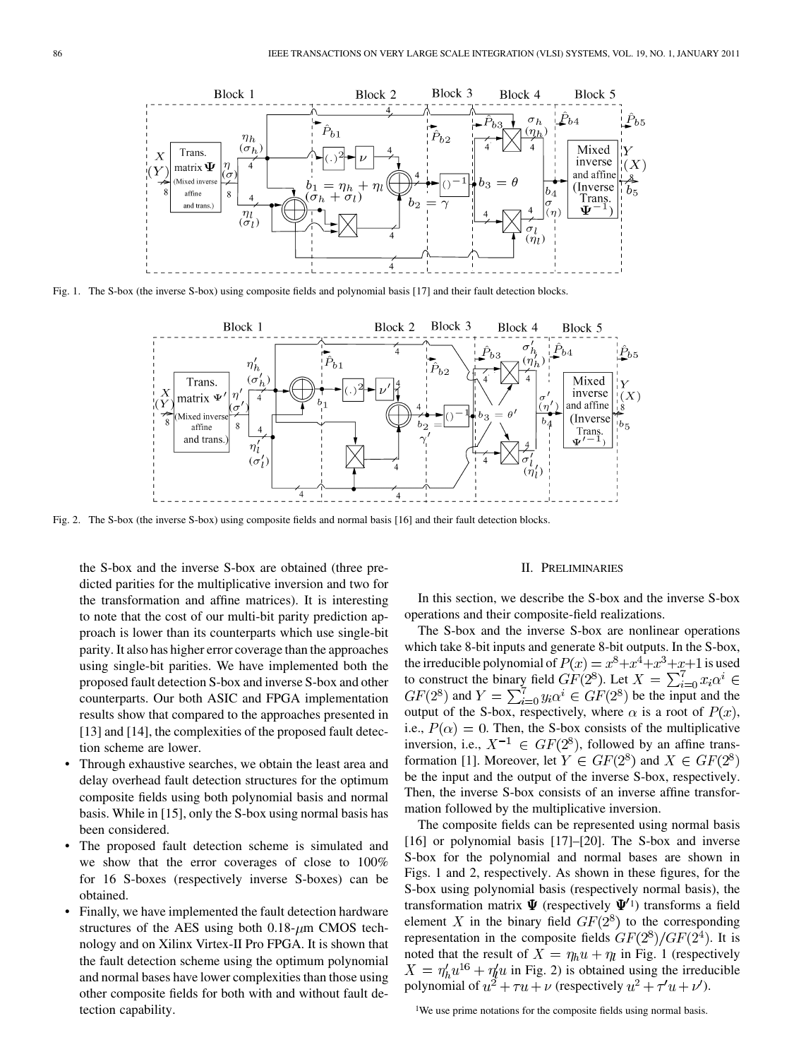

Fig. 1. The S-box (the inverse S-box) using composite fields and polynomial basis [17] and their fault detection blocks.



Fig. 2. The S-box (the inverse S-box) using composite fields and normal basis [16] and their fault detection blocks.

the S-box and the inverse S-box are obtained (three predicted parities for the multiplicative inversion and two for the transformation and affine matrices). It is interesting to note that the cost of our multi-bit parity prediction approach is lower than its counterparts which use single-bit parity. It also has higher error coverage than the approaches using single-bit parities. We have implemented both the proposed fault detection S-box and inverse S-box and other counterparts. Our both ASIC and FPGA implementation results show that compared to the approaches presented in [13] and [14], the complexities of the proposed fault detection scheme are lower.

- Through exhaustive searches, we obtain the least area and delay overhead fault detection structures for the optimum composite fields using both polynomial basis and normal basis. While in [15], only the S-box using normal basis has been considered.
- The proposed fault detection scheme is simulated and we show that the error coverages of close to 100% for 16 S-boxes (respectively inverse S-boxes) can be obtained.
- Finally, we have implemented the fault detection hardware structures of the AES using both  $0.18 - \mu m$  CMOS technology and on Xilinx Virtex-II Pro FPGA. It is shown that the fault detection scheme using the optimum polynomial and normal bases have lower complexities than those using other composite fields for both with and without fault detection capability.

#### II. PRELIMINARIES

In this section, we describe the S-box and the inverse S-box operations and their composite-field realizations.

The S-box and the inverse S-box are nonlinear operations which take 8-bit inputs and generate 8-bit outputs. In the S-box, the irreducible polynomial of  $P(x) = x^8 + x^4 + x^3 + x + 1$  is used to construct the binary field  $GF(2^8)$ . Let  $X = \sum_{i=0}^{7} x_i \alpha^i \in$  $GF(2^8)$  and  $Y = \sum_{i=0}^{7} y_i \alpha^i \in GF(2^8)$  be the input and the output of the S-box, respectively, where  $\alpha$  is a root of  $P(x)$ , i.e.,  $P(\alpha) = 0$ . Then, the S-box consists of the multiplicative inversion, i.e.,  $X^{-1} \in GF(2^8)$ , followed by an affine transformation [1]. Moreover, let  $Y \in GF(2^8)$  and  $X \in GF(2^8)$ be the input and the output of the inverse S-box, respectively. Then, the inverse S-box consists of an inverse affine transformation followed by the multiplicative inversion.

The composite fields can be represented using normal basis [16] or polynomial basis [17]–[20]. The S-box and inverse S-box for the polynomial and normal bases are shown in Figs. 1 and 2, respectively. As shown in these figures, for the S-box using polynomial basis (respectively normal basis), the transformation matrix  $\Psi$  (respectively  $\Psi'^{1}$ ) transforms a field element X in the binary field  $GF(2^8)$  to the corresponding representation in the composite fields  $GF(2^8)/GF(2^4)$ . It is noted that the result of  $X = \eta_h u + \eta_l$  in Fig. 1 (respectively  $X = \eta_h' u^{16} + \eta_l' u$  in Fig. 2) is obtained using the irreducible polynomial of  $u^2 + \tau u + \nu$  (respectively  $u^2 + \tau' u + \nu'$ ).

<sup>1</sup>We use prime notations for the composite fields using normal basis.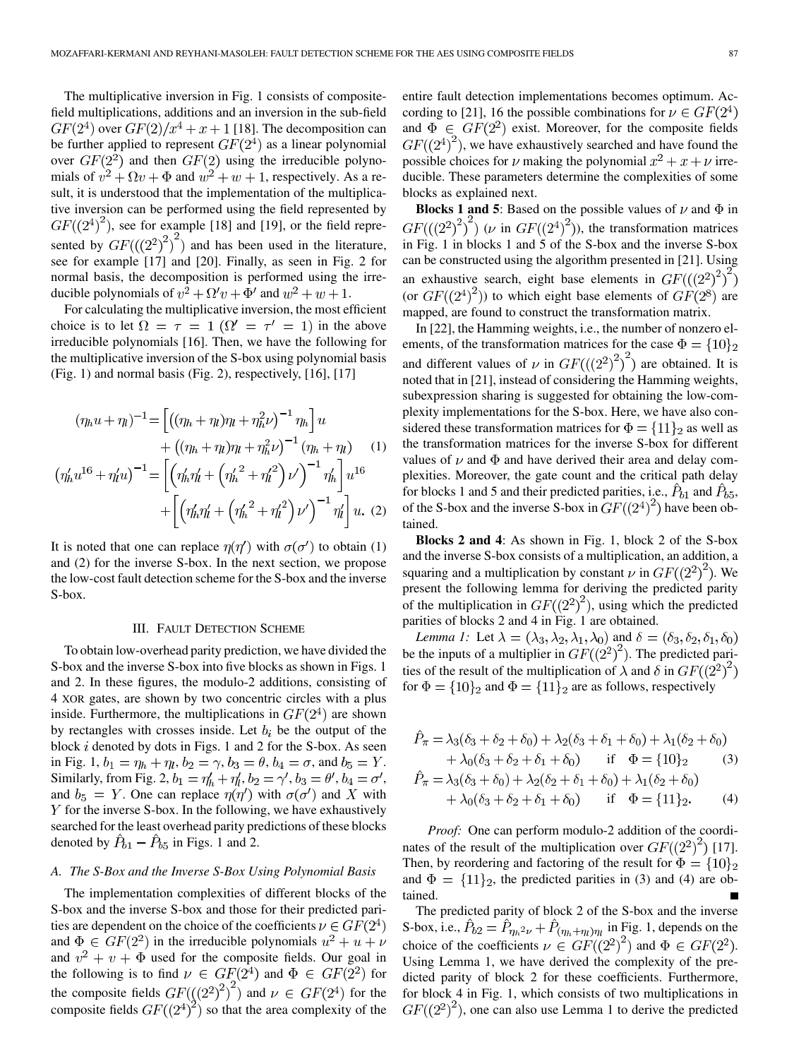The multiplicative inversion in Fig. 1 consists of compositefield multiplications, additions and an inversion in the sub-field  $GF(2^4)$  over  $GF(2)/x^4 + x + 1$  [18]. The decomposition can be further applied to represent  $GF(2^4)$  as a linear polynomial over  $GF(2^2)$  and then  $GF(2)$  using the irreducible polynomials of  $v^2 + \Omega v + \Phi$  and  $w^2 + w + 1$ , respectively. As a result, it is understood that the implementation of the multiplicative inversion can be performed using the field represented by  $GF((2^4)^2)$ , see for example [18] and [19], or the field represented by  $GF(((2^2)^2)^2)$  and has been used in the literature, see for example [17] and [20]. Finally, as seen in Fig. 2 for normal basis, the decomposition is performed using the irreducible polynomials of  $v^2 + \Omega' v + \Phi'$  and  $w^2 + w + 1$ .

For calculating the multiplicative inversion, the most efficient choice is to let  $\Omega = \tau = 1$  ( $\Omega' = \tau' = 1$ ) in the above irreducible polynomials [16]. Then, we have the following for the multiplicative inversion of the S-box using polynomial basis (Fig. 1) and normal basis (Fig. 2), respectively, [16], [17]

$$
(\eta_h u + \eta_l)^{-1} = \left[ \left( (\eta_h + \eta_l) \eta_l + \eta_h^2 \nu \right)^{-1} \eta_h \right] u + \left( (\eta_h + \eta_l) \eta_l + \eta_h^2 \nu \right)^{-1} (\eta_h + \eta_l) \quad (1) (\eta'_h u^{16} + \eta'_l u)^{-1} = \left[ \left( \eta'_h \eta'_l + \left( \eta'_h^2 + \eta'_l^2 \right) \nu' \right)^{-1} \eta'_h \right] u^{16} + \left[ \left( \eta'_h \eta'_l + \left( \eta'_h^2 + \eta'_l^2 \right) \nu' \right)^{-1} \eta'_l \right] u. (2)
$$

It is noted that one can replace  $\eta(\eta')$  with  $\sigma(\sigma')$  to obtain (1) and (2) for the inverse S-box. In the next section, we propose the low-cost fault detection scheme for the S-box and the inverse S-box.

#### III. FAULT DETECTION SCHEME

To obtain low-overhead parity prediction, we have divided the S-box and the inverse S-box into five blocks as shown in Figs. 1 and 2. In these figures, the modulo-2 additions, consisting of 4 XOR gates, are shown by two concentric circles with a plus inside. Furthermore, the multiplications in  $GF(2^4)$  are shown by rectangles with crosses inside. Let  $b_i$  be the output of the block  $i$  denoted by dots in Figs. 1 and 2 for the S-box. As seen in Fig. 1,  $b_1 = \eta_h + \eta_l$ ,  $b_2 = \gamma$ ,  $b_3 = \theta$ ,  $b_4 = \sigma$ , and  $b_5 = Y$ . Similarly, from Fig. 2,  $b_1 = \eta'_h + \eta'_h$ ,  $b_2 = \gamma'$ ,  $b_3 = \theta'$ ,  $b_4 = \sigma'$ , and  $b_5 = Y$ . One can replace  $\eta(\eta')$  with  $\sigma(\sigma')$  and X with  $Y$  for the inverse S-box. In the following, we have exhaustively searched for the least overhead parity predictions of these blocks denoted by  $\hat{P}_{b1} - \hat{P}_{b5}$  in Figs. 1 and 2.

#### *A. The S-Box and the Inverse S-Box Using Polynomial Basis*

The implementation complexities of different blocks of the S-box and the inverse S-box and those for their predicted parities are dependent on the choice of the coefficients  $\nu \in GF(2^4)$ and  $\Phi \in GF(2^2)$  in the irreducible polynomials  $u^2 + u + \nu$ and  $v^2 + v + \Phi$  used for the composite fields. Our goal in the following is to find  $\nu \in GF(2^4)$  and  $\Phi \in GF(2^2)$  for the composite fields  $GF(((2^2)^2)$  ) and  $\nu \in GF(2^4)$  for the composite fields  $GF((2^4)^2)$  so that the area complexity of the

entire fault detection implementations becomes optimum. According to [21], 16 the possible combinations for  $\nu \in GF(2^4)$ and  $\Phi \in GF(2^2)$  exist. Moreover, for the composite fields  $GF((2^4)^2)$ , we have exhaustively searched and have found the possible choices for  $\nu$  making the polynomial  $x^2 + x + \nu$  irreducible. These parameters determine the complexities of some blocks as explained next.

**Blocks 1 and 5:** Based on the possible values of  $\nu$  and  $\Phi$  in  $GF(((2^2)^2)^\sim)$  ( $\nu$  in  $GF((2^4)^2)$ ), the transformation matrices in Fig. 1 in blocks 1 and 5 of the S-box and the inverse S-box can be constructed using the algorithm presented in [21]. Using an exhaustive search, eight base elements in  $GF(((2^2)^2)^2)$ (or  $GF((2^4)^2)$ ) to which eight base elements of  $GF(2^8)$  are mapped, are found to construct the transformation matrix.

In [22], the Hamming weights, i.e., the number of nonzero elements, of the transformation matrices for the case  $\Phi = \{10\}_2$ and different values of  $\nu$  in  $GF(((2^2)^2)^2)$  are obtained. It is noted that in [21], instead of considering the Hamming weights, subexpression sharing is suggested for obtaining the low-complexity implementations for the S-box. Here, we have also considered these transformation matrices for  $\Phi = \{11\}_2$  as well as the transformation matrices for the inverse S-box for different values of  $\nu$  and  $\Phi$  and have derived their area and delay complexities. Moreover, the gate count and the critical path delay for blocks 1 and 5 and their predicted parities, i.e.,  $\hat{P}_{b1}$  and  $\hat{P}_{b5}$ , of the S-box and the inverse S-box in  $GF((2^4)^2)$  have been obtained.

**Blocks 2 and 4**: As shown in Fig. 1, block 2 of the S-box and the inverse S-box consists of a multiplication, an addition, a squaring and a multiplication by constant  $\nu$  in  $GF((2^2)^2)$ . We present the following lemma for deriving the predicted parity of the multiplication in  $GF((2^2)^2)$ , using which the predicted parities of blocks 2 and 4 in Fig. 1 are obtained.

*Lemma 1:* Let  $\lambda = (\lambda_3, \lambda_2, \lambda_1, \lambda_0)$  and  $\delta = (\delta_3, \delta_2, \delta_1, \delta_0)$ be the inputs of a multiplier in  $GF((2^2)^2)$ . The predicted parities of the result of the multiplication of  $\lambda$  and  $\delta$  in  $GF((2^2)^2)$ for  $\Phi = \{10\}_2$  and  $\Phi = \{11\}_2$  are as follows, respectively

$$
\hat{P}_{\pi} = \lambda_3(\delta_3 + \delta_2 + \delta_0) + \lambda_2(\delta_3 + \delta_1 + \delta_0) + \lambda_1(\delta_2 + \delta_0) \n+ \lambda_0(\delta_3 + \delta_2 + \delta_1 + \delta_0) \quad \text{if} \quad \Phi = \{10\}_2 \tag{3}
$$
\n
$$
\hat{P}_{\pi} = \lambda_3(\delta_3 + \delta_0) + \lambda_2(\delta_2 + \delta_1 + \delta_0) + \lambda_1(\delta_2 + \delta_0)
$$

$$
+\lambda_0(\delta_3 + \delta_2 + \delta_1 + \delta_0) \quad \text{if} \quad \Phi = \{11\}_2. \tag{4}
$$

*Proof:* One can perform modulo-2 addition of the coordinates of the result of the multiplication over  $GF((2^2)^2)$  [17]. Then, by reordering and factoring of the result for  $\Phi = \{10\}_2$ and  $\Phi = \{11\}_2$ , the predicted parities in (3) and (4) are obtained.

The predicted parity of block 2 of the S-box and the inverse S-box, i.e.,  $\hat{P}_{b2} = \hat{P}_{\eta_h^2 \nu} + \hat{P}_{(\eta_h + \eta_l)\eta_l}$  in Fig. 1, depends on the choice of the coefficients  $\nu \in GF((2^2)^2)$  and  $\Phi \in GF(2^2)$ . Using Lemma 1, we have derived the complexity of the predicted parity of block 2 for these coefficients. Furthermore, for block 4 in Fig. 1, which consists of two multiplications in  $GF((2^2)^2)$ , one can also use Lemma 1 to derive the predicted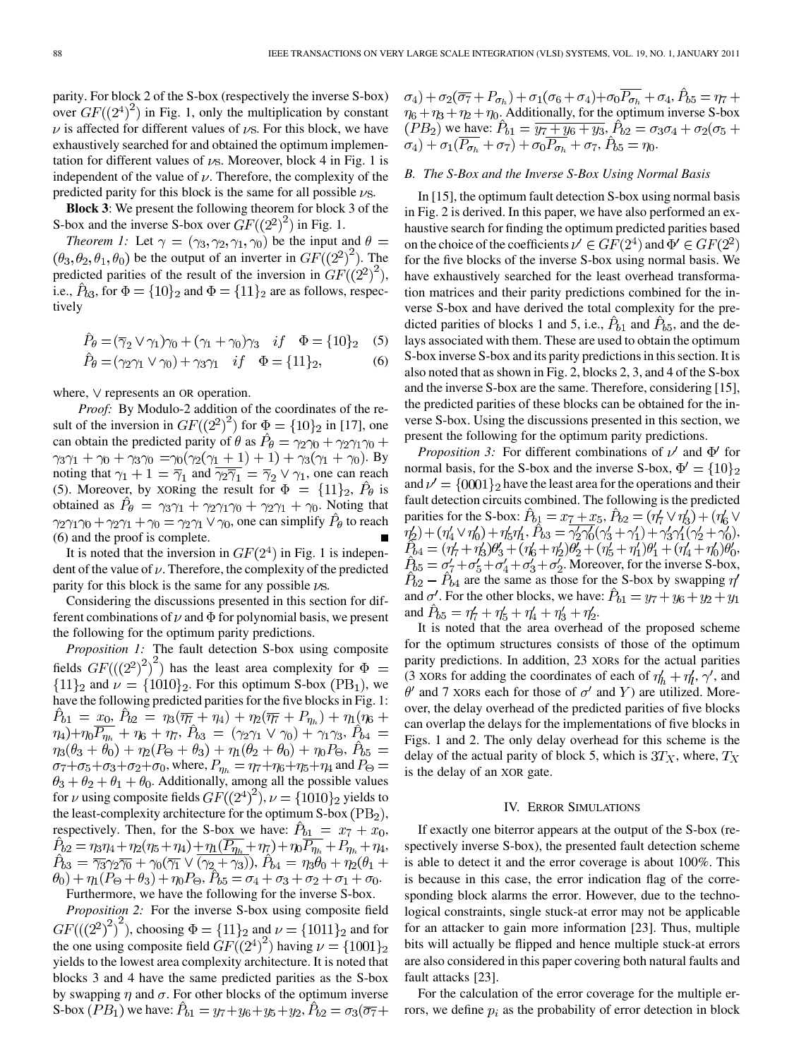parity. For block 2 of the S-box (respectively the inverse S-box) over  $GF((2^4)^2)$  in Fig. 1, only the multiplication by constant  $\nu$  is affected for different values of  $\nu$ s. For this block, we have exhaustively searched for and obtained the optimum implementation for different values of  $\nu$ s. Moreover, block 4 in Fig. 1 is independent of the value of  $\nu$ . Therefore, the complexity of the predicted parity for this block is the same for all possible  $\nu$ s.

**Block 3**: We present the following theorem for block 3 of the S-box and the inverse S-box over  $GF((2^2)^2)$  in Fig. 1.

*Theorem 1:* Let  $\gamma = (\gamma_3, \gamma_2, \gamma_1, \gamma_0)$  be the input and  $\theta =$  $(\theta_3, \theta_2, \theta_1, \theta_0)$  be the output of an inverter in  $GF({(2^2)}^2)$ . The predicted parities of the result of the inversion in  $GF((2^2)^2)$ , i.e.,  $\hat{P}_{b3}$ , for  $\Phi = \{10\}_2$  and  $\Phi = \{11\}_2$  are as follows, respectively

$$
\hat{P}_{\theta} = (\overline{\gamma}_2 \vee \gamma_1)\gamma_0 + (\gamma_1 + \gamma_0)\gamma_3 \quad if \quad \Phi = \{10\}_2 \quad (5)
$$
  

$$
\hat{P}_{\theta} = (\gamma_2 \gamma_1 \vee \gamma_0) + \gamma_3 \gamma_1 \quad if \quad \Phi = \{11\}_2, \quad (6)
$$

$$
P_{\theta} = (\gamma_2 \gamma_1 \vee \gamma_0) + \gamma_3 \gamma_1 \quad \text{if} \quad \Phi = \{11\}_2,
$$

where,  $\vee$  represents an OR operation.

*Proof:* By Modulo-2 addition of the coordinates of the result of the inversion in  $GF((2^2)^2)$  for  $\Phi = \{10\}_2$  in [17], one can obtain the predicted parity of  $\theta$  as  $\ddot{P}_\theta = \gamma_2 \gamma_0 + \gamma_2 \gamma_1 \gamma_0 +$  $\gamma_3\gamma_1 + \gamma_0 + \gamma_3\gamma_0 = \gamma_0(\gamma_2(\gamma_1 + 1) + 1) + \gamma_3(\gamma_1 + \gamma_0)$ . By noting that  $\gamma_1 + 1 = \overline{\gamma}_1$  and  $\overline{\gamma_2} \overline{\gamma}_1 = \overline{\gamma}_2 \vee \gamma_1$ , one can reach (5). Moreover, by XORing the result for  $\Phi = \{11\}_2$ ,  $\hat{P}_\theta$  is obtained as  $\hat{P}_{\theta} = \gamma_3 \gamma_1 + \gamma_2 \gamma_1 \gamma_0 + \gamma_2 \gamma_1 + \gamma_0$ . Noting that  $\gamma_2\gamma_1\gamma_0 + \gamma_2\gamma_1 + \gamma_0 = \gamma_2\gamma_1 \vee \gamma_0$ , one can simplify  $\hat{P}_\theta$  to reach (6) and the proof is complete.

It is noted that the inversion in  $GF(2<sup>4</sup>)$  in Fig. 1 is independent of the value of  $\nu$ . Therefore, the complexity of the predicted parity for this block is the same for any possible  $\nu$ s.

Considering the discussions presented in this section for different combinations of  $\nu$  and  $\Phi$  for polynomial basis, we present the following for the optimum parity predictions.

*Proposition 1:* The fault detection S-box using composite fields  $GF(((2^2)^2)^2)$  has the least area complexity for  $\Phi =$  ${11}_2$  and  $\nu = {1010}_2$ . For this optimum S-box (PB<sub>1</sub>), we have the following predicted parities for the five blocks in Fig. 1:  $\hat{P}_{b1} = x_0, \,\hat{P}_{b2} = \eta_3(\overline{\eta_7} + \eta_4) + \eta_2(\overline{\eta_7} + P_{\eta_5}) + \eta_1(\eta_6 +$  $(\eta_4)+\eta_0\overline{P_{\eta_h}} + \eta_6 + \eta_7$ ,  $\hat{P}_{b3} = (\gamma_2\gamma_1 \vee \gamma_0) + \gamma_1\gamma_3$ ,  $\hat{P}_{b4} =$  $\eta_3(\theta_3 + \theta_0) + \eta_2(P_\Theta + \theta_3) + \eta_1(\theta_2 + \theta_0) + \eta_0 P_\Theta$ ,  $\hat{P}_{b5} =$  $\sigma_7 + \sigma_5 + \sigma_3 + \sigma_2 + \sigma_0$ , where,  $P_{\eta_h} = \eta_7 + \eta_6 + \eta_5 + \eta_4$  and  $P_{\Theta} =$  $\theta_3 + \theta_2 + \theta_1 + \theta_0$ . Additionally, among all the possible values for  $\nu$  using composite fields  $GF((2^4)^2)$ ,  $\nu = \{1010\}$  yields to the least-complexity architecture for the optimum S-box  $(PB<sub>2</sub>)$ , respectively. Then, for the S-box we have:  $\hat{P}_{b1} = x_7 + x_0$ , , ,  $\theta_0$ ) +  $\eta_1 (P_\Theta + \theta_3)$  +  $\eta_0 P_\Theta$ ,  $P_{b5} = \sigma_4 + \sigma_3 + \sigma_2 + \sigma_1 + \sigma_0$ .

Furthermore, we have the following for the inverse S-box.

*Proposition 2:* For the inverse S-box using composite field  $GF(((2^2)^2)^2)$ , choosing  $\Phi = \{11\}_2$  and  $\nu = \{1011\}_2$  and for the one using composite field  $GF((2^4)^2)$  having  $\nu = \{1001\}_2$ yields to the lowest area complexity architecture. It is noted that blocks 3 and 4 have the same predicted parities as the S-box by swapping  $\eta$  and  $\sigma$ . For other blocks of the optimum inverse S-box  $(PB_1)$  we have:  $\hat{P}_{b1} = y_7 + y_6 + y_5 + y_2$ ,  $\hat{P}_{b2} = \sigma_3(\overline{\sigma_7})$ 

 $\sigma_4$ ) +  $\sigma_2(\overline{\sigma_7} + P_{\sigma_h}) + \sigma_1(\sigma_6 + \sigma_4) + \sigma_0 \overline{P_{\sigma_h}} + \sigma_4$ ,  $\hat{P}_{b5} = \eta_7 + \eta_8$  $\eta_6 + \eta_3 + \eta_2 + \eta_0$ . Additionally, for the optimum inverse S-box we have:  $P_{b1} = \overline{y_7 + y_6 + y_3}$ , ,  $P_{b5} = \eta_0$ .

## *B. The S-Box and the Inverse S-Box Using Normal Basis*

In [15], the optimum fault detection S-box using normal basis in Fig. 2 is derived. In this paper, we have also performed an exhaustive search for finding the optimum predicted parities based on the choice of the coefficients  $\nu' \in GF(2^4)$  and  $\Phi' \in GF(2^2)$ for the five blocks of the inverse S-box using normal basis. We have exhaustively searched for the least overhead transformation matrices and their parity predictions combined for the inverse S-box and have derived the total complexity for the predicted parities of blocks 1 and 5, i.e.,  $\hat{P}_{b1}$  and  $\hat{P}_{b5}$ , and the delays associated with them. These are used to obtain the optimum S-box inverse S-box and its parity predictions in this section. It is also noted that as shown in Fig. 2, blocks 2, 3, and 4 of the S-box and the inverse S-box are the same. Therefore, considering [15], the predicted parities of these blocks can be obtained for the inverse S-box. Using the discussions presented in this section, we present the following for the optimum parity predictions.

*Proposition 3:* For different combinations of  $\nu'$  and  $\Phi'$  for normal basis, for the S-box and the inverse S-box,  $\Phi' = \{10\}_2$ and  $\nu' = \{0001\}_2$  have the least area for the operations and their fault detection circuits combined. The following is the predicted parities for the S-box:  $\hat{P}_{b1} = x_7 + x_5$ ,  $\hat{P}_{b2} = (\eta'_7 \vee \eta'_3) + (\eta'_6 \vee \eta'_5)$ ,  $P_{b3} = \gamma'_2 \gamma'_0 (\gamma'_3 + \gamma'_1) + \gamma'_3 \gamma'_1 (\gamma'_2 + \gamma'_0),$ , . Moreover, for the inverse S-box,  $\hat{P}_{b2} - \hat{P}_{b4}$  are the same as those for the S-box by swapping  $\eta$ and  $\sigma'$ . For the other blocks, we have:  $\hat{P}_{b1} = y_7 + y_6 + y_2 + y_1$ and  $\hat{P}_{b5} = \eta'_7 + \eta'_5 + \eta'_4 + \eta'_3 + \eta'_2$ .

It is noted that the area overhead of the proposed scheme for the optimum structures consists of those of the optimum parity predictions. In addition, 23 XORs for the actual parities (3 XORs for adding the coordinates of each of  $\eta'_{h} + \eta'_{l}, \gamma'$ , and  $\theta'$  and 7 XORs each for those of  $\sigma'$  and Y) are utilized. Moreover, the delay overhead of the predicted parities of five blocks can overlap the delays for the implementations of five blocks in Figs. 1 and 2. The only delay overhead for this scheme is the delay of the actual parity of block 5, which is  $3T_X$ , where,  $T_X$ is the delay of an XOR gate.

## IV. ERROR SIMULATIONS

If exactly one biterror appears at the output of the S-box (respectively inverse S-box), the presented fault detection scheme is able to detect it and the error coverage is about 100%. This is because in this case, the error indication flag of the corresponding block alarms the error. However, due to the technological constraints, single stuck-at error may not be applicable for an attacker to gain more information [23]. Thus, multiple bits will actually be flipped and hence multiple stuck-at errors are also considered in this paper covering both natural faults and fault attacks [23].

For the calculation of the error coverage for the multiple errors, we define  $p_i$  as the probability of error detection in block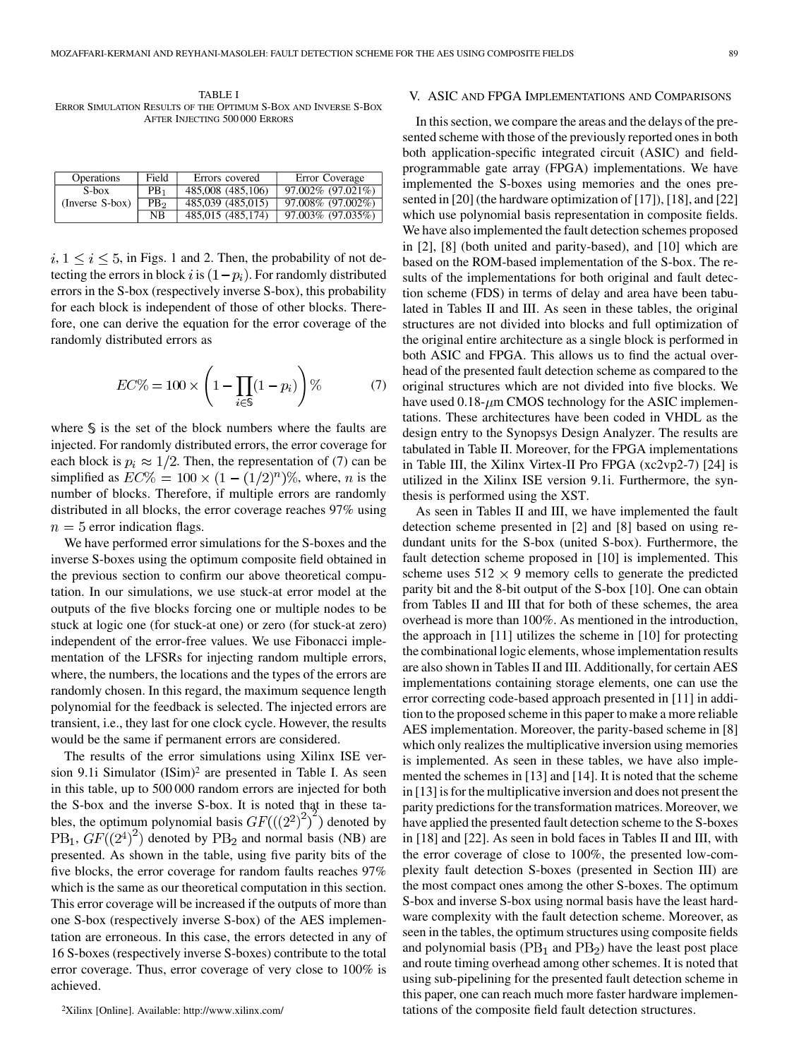TABLE I ERROR SIMULATION RESULTS OF THE OPTIMUM S-BOX AND INVERSE S-BOX AFTER INJECTING 500 000 ERRORS

| <b>Operations</b> | Field           | Errors covered    | Error Coverage                     |
|-------------------|-----------------|-------------------|------------------------------------|
| S-box             | PB <sub>1</sub> | 485,008 (485,106) | 97.002% (97.021%)                  |
| (Inverse S-box)   | PB <sub>2</sub> | 485,039 (485,015) | 97.008% (97.002%)                  |
|                   | NΒ              | 485,015 (485,174) | $97.003\%$ $\overline{(97.035\%)}$ |

 $i, 1 \le i \le 5$ , in Figs. 1 and 2. Then, the probability of not detecting the errors in block i is  $(1-p_i)$ . For randomly distributed errors in the S-box (respectively inverse S-box), this probability for each block is independent of those of other blocks. Therefore, one can derive the equation for the error coverage of the randomly distributed errors as

$$
EC\% = 100 \times \left(1 - \prod_{i \in \mathbb{S}} (1 - p_i)\right) \% \tag{7}
$$

where  $\hat{S}$  is the set of the block numbers where the faults are injected. For randomly distributed errors, the error coverage for each block is  $p_i \approx 1/2$ . Then, the representation of (7) can be simplified as  $EC\% = 100 \times (1 - (1/2)^n)\%$ , where, *n* is the number of blocks. Therefore, if multiple errors are randomly distributed in all blocks, the error coverage reaches 97% using  $n=5$  error indication flags.

We have performed error simulations for the S-boxes and the inverse S-boxes using the optimum composite field obtained in the previous section to confirm our above theoretical computation. In our simulations, we use stuck-at error model at the outputs of the five blocks forcing one or multiple nodes to be stuck at logic one (for stuck-at one) or zero (for stuck-at zero) independent of the error-free values. We use Fibonacci implementation of the LFSRs for injecting random multiple errors, where, the numbers, the locations and the types of the errors are randomly chosen. In this regard, the maximum sequence length polynomial for the feedback is selected. The injected errors are transient, i.e., they last for one clock cycle. However, the results would be the same if permanent errors are considered.

The results of the error simulations using Xilinx ISE version 9.1i Simulator (ISim)2 are presented in Table I. As seen in this table, up to 500 000 random errors are injected for both the S-box and the inverse S-box. It is noted that in these tables, the optimum polynomial basis  $GF(((2^2)^2)^7)$  denoted by  $PB_1$ ,  $GF((2^4)^2)$  denoted by  $PB_2$  and normal basis (NB) are presented. As shown in the table, using five parity bits of the five blocks, the error coverage for random faults reaches 97% which is the same as our theoretical computation in this section. This error coverage will be increased if the outputs of more than one S-box (respectively inverse S-box) of the AES implementation are erroneous. In this case, the errors detected in any of 16 S-boxes (respectively inverse S-boxes) contribute to the total error coverage. Thus, error coverage of very close to 100% is achieved.

2Xilinx [Online]. Available: http://www.xilinx.com/

## V. ASIC AND FPGA IMPLEMENTATIONS AND COMPARISONS

In this section, we compare the areas and the delays of the presented scheme with those of the previously reported ones in both both application-specific integrated circuit (ASIC) and fieldprogrammable gate array (FPGA) implementations. We have implemented the S-boxes using memories and the ones presented in [20] (the hardware optimization of [17]), [18], and [22] which use polynomial basis representation in composite fields. We have also implemented the fault detection schemes proposed in [2], [8] (both united and parity-based), and [10] which are based on the ROM-based implementation of the S-box. The results of the implementations for both original and fault detection scheme (FDS) in terms of delay and area have been tabulated in Tables II and III. As seen in these tables, the original structures are not divided into blocks and full optimization of the original entire architecture as a single block is performed in both ASIC and FPGA. This allows us to find the actual overhead of the presented fault detection scheme as compared to the original structures which are not divided into five blocks. We have used  $0.18 - \mu m$  CMOS technology for the ASIC implementations. These architectures have been coded in VHDL as the design entry to the Synopsys Design Analyzer. The results are tabulated in Table II. Moreover, for the FPGA implementations in Table III, the Xilinx Virtex-II Pro FPGA (xc2vp2-7) [24] is utilized in the Xilinx ISE version 9.1i. Furthermore, the synthesis is performed using the XST.

As seen in Tables II and III, we have implemented the fault detection scheme presented in [2] and [8] based on using redundant units for the S-box (united S-box). Furthermore, the fault detection scheme proposed in [10] is implemented. This scheme uses  $512 \times 9$  memory cells to generate the predicted parity bit and the 8-bit output of the S-box [10]. One can obtain from Tables II and III that for both of these schemes, the area overhead is more than 100%. As mentioned in the introduction, the approach in [11] utilizes the scheme in [10] for protecting the combinational logic elements, whose implementation results are also shown in Tables II and III. Additionally, for certain AES implementations containing storage elements, one can use the error correcting code-based approach presented in [11] in addition to the proposed scheme in this paper to make a more reliable AES implementation. Moreover, the parity-based scheme in [8] which only realizes the multiplicative inversion using memories is implemented. As seen in these tables, we have also implemented the schemes in [13] and [14]. It is noted that the scheme in [13] is for the multiplicative inversion and does not present the parity predictions for the transformation matrices. Moreover, we have applied the presented fault detection scheme to the S-boxes in [18] and [22]. As seen in bold faces in Tables II and III, with the error coverage of close to 100%, the presented low-complexity fault detection S-boxes (presented in Section III) are the most compact ones among the other S-boxes. The optimum S-box and inverse S-box using normal basis have the least hardware complexity with the fault detection scheme. Moreover, as seen in the tables, the optimum structures using composite fields and polynomial basis ( $PB<sub>1</sub>$  and  $PB<sub>2</sub>$ ) have the least post place and route timing overhead among other schemes. It is noted that using sub-pipelining for the presented fault detection scheme in this paper, one can reach much more faster hardware implementations of the composite field fault detection structures.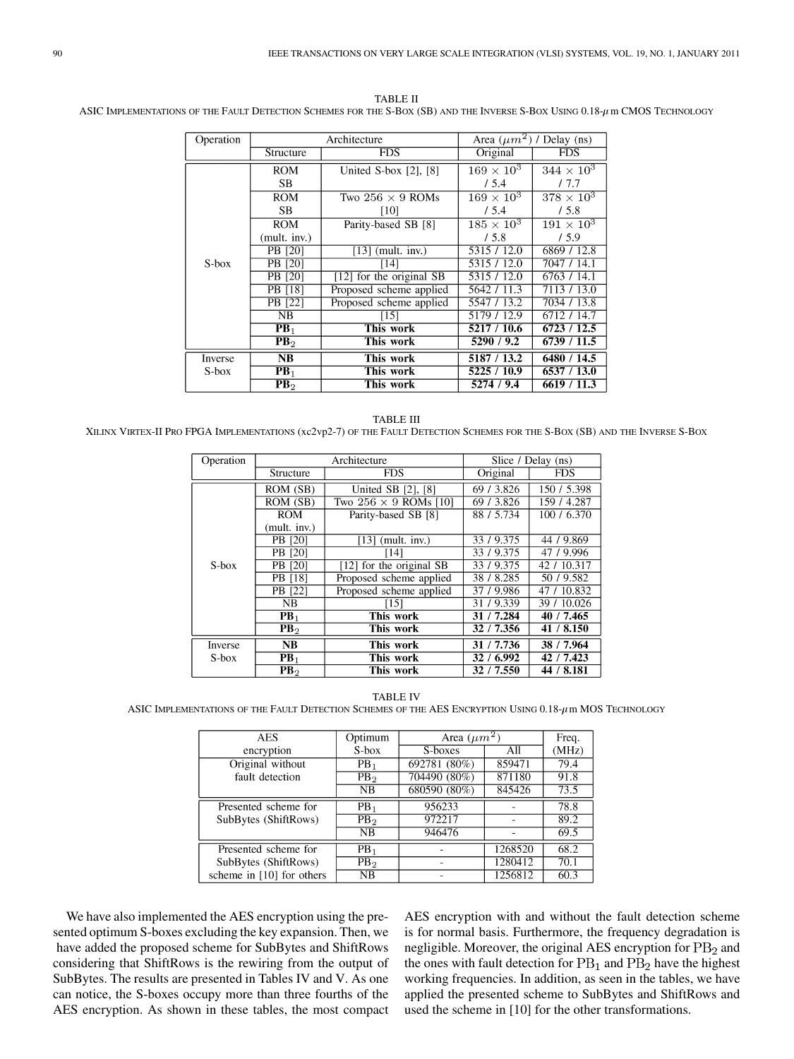| Operation |                        | Architecture               | Area $(\mu m^2)$ / Delay (ns) |                   |
|-----------|------------------------|----------------------------|-------------------------------|-------------------|
|           | Structure              | <b>FDS</b>                 | Original                      | <b>FDS</b>        |
|           | <b>ROM</b>             | United S-box $[2]$ , $[8]$ | $169 \times 10^3$             | $344 \times 10^3$ |
|           | <b>SB</b>              |                            | /5.4                          | 17.7              |
|           | <b>ROM</b>             | Two $256 \times 9$ ROMs    | $169\times10^3$               | $378\times10^3$   |
|           | SB.                    | [10]                       | /5.4                          | /5.8              |
|           | <b>ROM</b>             | Parity-based SB [8]        | $185\times10^3$               | $191 \times 10^3$ |
|           | (mult. inv.)           |                            | /5.8                          | 15.9              |
|           | <b>PB</b> [20]         | $[13]$ (mult. inv.)        | 5315 / 12.0                   | 6869 / 12.8       |
| S-box     | <b>PB</b> [20]<br>[14] |                            | 5315 / 12.0                   | 7047 / 14.1       |
|           | <b>PB</b> [20]         | $[12]$ for the original SB | 5315 / 12.0                   | 6763 / 14.1       |
|           | PB [18]                | Proposed scheme applied    | 5642 / 11.3                   | 7113 / 13.0       |
|           | PB [22]                | Proposed scheme applied    | 5547 / 13.2                   | 7034 / 13.8       |
|           | NB                     | [15]                       | 5179 / 12.9                   | 6712 / 14.7       |
|           | $\mathbf{PB}_1$        | This work                  | 5217 / 10.6                   | 6723/12.5         |
|           | PB <sub>2</sub>        | This work                  | 5290 / 9.2                    | 6739 / 11.5       |
| Inverse   | NB                     | This work                  | 5187 / 13.2                   | 6480 / 14.5       |
| S-box     | $PB_1$                 | This work                  | 5225 / 10.9                   | 6537 / 13.0       |
|           | PB <sub>2</sub>        | This work                  | 5274 / 9.4                    | 6619 / 11.3       |

TABLE II ASIC IMPLEMENTATIONS OF THE FAULT DETECTION SCHEMES FOR THE S-BOX (SB) AND THE INVERSE S-BOX USING 0.18- $\mu$ m CMOS TECHNOLOGY

TABLE III XILINX VIRTEX-II PRO FPGA IMPLEMENTATIONS (xc2vp2-7) OF THE FAULT DETECTION SCHEMES FOR THE S-BOX (SB) AND THE INVERSE S-BOX

| Operation |                              | Architecture                 | Slice / Delay (ns)      |             |
|-----------|------------------------------|------------------------------|-------------------------|-------------|
|           | Structure                    | <b>FDS</b>                   | Original                | <b>FDS</b>  |
|           | ROM (SB)                     | United SB [2], [8]           | 69 / 3.826              | 150 / 5.398 |
|           | ROM (SB)                     | Two $256 \times 9$ ROMs [10] | $\overline{69}$ / 3.826 | 159 / 4.287 |
|           | <b>ROM</b>                   | Parity-based SB [8]          | 88 / 5.734              | 100 / 6.370 |
|           | (mult. inv.)                 |                              |                         |             |
|           | PB [20]                      | $[13]$ (mult. inv.)          | 33 / 9.375              | 44 / 9.869  |
|           | PB [20]                      | [14]                         | 33 / 9.375              | 47 / 9.996  |
| $S-box$   | PB [20]                      | [12] for the original SB     | 33 / 9.375              | 42 / 10.317 |
|           | PB [18]                      | Proposed scheme applied      | 38 / 8.285              | 50 / 9.582  |
|           | PB [22]                      | Proposed scheme applied      | 37 / 9.986              | 47 / 10.832 |
|           | <b>NB</b>                    | [15]                         | 31/9.339                | 39 / 10.026 |
|           | PB <sub>1</sub>              | This work                    | 31 / 7.284              | 40 / 7.465  |
|           | $\overline{\text{PB}}_2$     | This work                    | 32 / 7.356              | 41 / 8.150  |
| Inverse   | NB                           | This work                    | 31 / 7.736              | 38 / 7.964  |
| $S-box$   | This work<br>PB <sub>1</sub> |                              | 32 / 6.992              | 42 / 7.423  |
|           | PB <sub>2</sub>              | This work                    | 32 / 7.550              | 44 / 8.181  |

TABLE IV

ASIC IMPLEMENTATIONS OF THE FAULT DETECTION SCHEMES OF THE AES ENCRYPTION USING  $0.18-\mu$  m MOS TECHNOLOGY

| <b>AES</b>                | Optimum         | Area $(\mu m^2)$ |         | Freq. |
|---------------------------|-----------------|------------------|---------|-------|
| encryption                | S-box           | S-boxes          | All     | (MHz) |
| Original without          | PB <sub>1</sub> | 692781 (80%)     | 859471  | 79.4  |
| fault detection           | PB <sub>2</sub> | 704490 (80%)     | 871180  | 91.8  |
|                           | NB              | $680590(80\%)$   | 845426  | 73.5  |
| Presented scheme for      | PB <sub>1</sub> | 956233           |         | 78.8  |
| SubBytes (ShiftRows)      | PB <sub>2</sub> | 972217           |         | 89.2  |
|                           | NB              | 946476           |         | 69.5  |
| Presented scheme for      | PB <sub>1</sub> |                  | 1268520 | 68.2  |
| SubBytes (ShiftRows)      | PB <sub>2</sub> |                  | 1280412 | 70.1  |
| scheme in [10] for others | NB              |                  | 1256812 | 60.3  |

We have also implemented the AES encryption using the presented optimum S-boxes excluding the key expansion. Then, we have added the proposed scheme for SubBytes and ShiftRows considering that ShiftRows is the rewiring from the output of SubBytes. The results are presented in Tables IV and V. As one can notice, the S-boxes occupy more than three fourths of the AES encryption. As shown in these tables, the most compact AES encryption with and without the fault detection scheme is for normal basis. Furthermore, the frequency degradation is negligible. Moreover, the original AES encryption for  $PB<sub>2</sub>$  and the ones with fault detection for  $PB<sub>1</sub>$  and  $PB<sub>2</sub>$  have the highest working frequencies. In addition, as seen in the tables, we have applied the presented scheme to SubBytes and ShiftRows and used the scheme in [10] for the other transformations.